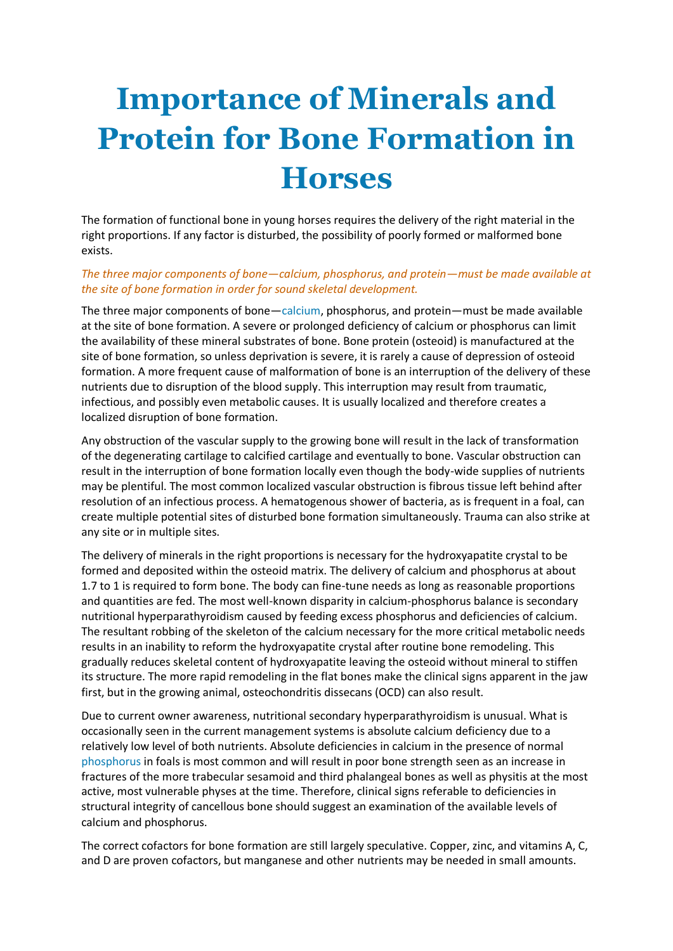## **Importance of Minerals and Protein for Bone Formation in Horses**

The formation of functional bone in young horses requires the delivery of the right material in the right proportions. If any factor is disturbed, the possibility of poorly formed or malformed bone exists.

## *The three major components of bone—calcium, phosphorus, and protein—must be made available at the site of bone formation in order for sound skeletal development.*

The three major components of bone—[calcium,](http://www.equinews.com/article/providing-dietary-calcium-and-phosphorus-horses) phosphorus, and protein—must be made available at the site of bone formation. A severe or prolonged deficiency of calcium or phosphorus can limit the availability of these mineral substrates of bone. Bone protein (osteoid) is manufactured at the site of bone formation, so unless deprivation is severe, it is rarely a cause of depression of osteoid formation. A more frequent cause of malformation of bone is an interruption of the delivery of these nutrients due to disruption of the blood supply. This interruption may result from traumatic, infectious, and possibly even metabolic causes. It is usually localized and therefore creates a localized disruption of bone formation.

Any obstruction of the vascular supply to the growing bone will result in the lack of transformation of the degenerating cartilage to calcified cartilage and eventually to bone. Vascular obstruction can result in the interruption of bone formation locally even though the body-wide supplies of nutrients may be plentiful. The most common localized vascular obstruction is fibrous tissue left behind after resolution of an infectious process. A hematogenous shower of bacteria, as is frequent in a foal, can create multiple potential sites of disturbed bone formation simultaneously. Trauma can also strike at any site or in multiple sites.

The delivery of minerals in the right proportions is necessary for the hydroxyapatite crystal to be formed and deposited within the osteoid matrix. The delivery of calcium and phosphorus at about 1.7 to 1 is required to form bone. The body can fine-tune needs as long as reasonable proportions and quantities are fed. The most well-known disparity in calcium-phosphorus balance is secondary nutritional hyperparathyroidism caused by feeding excess phosphorus and deficiencies of calcium. The resultant robbing of the skeleton of the calcium necessary for the more critical metabolic needs results in an inability to reform the hydroxyapatite crystal after routine bone remodeling. This gradually reduces skeletal content of hydroxyapatite leaving the osteoid without mineral to stiffen its structure. The more rapid remodeling in the flat bones make the clinical signs apparent in the jaw first, but in the growing animal, osteochondritis dissecans (OCD) can also result.

Due to current owner awareness, nutritional secondary hyperparathyroidism is unusual. What is occasionally seen in the current management systems is absolute calcium deficiency due to a relatively low level of both nutrients. Absolute deficiencies in calcium in the presence of normal [phosphorus](http://www.equinews.com/article/phosphorus-uptake-gene-could-improve-grain-yields) in foals is most common and will result in poor bone strength seen as an increase in fractures of the more trabecular sesamoid and third phalangeal bones as well as physitis at the most active, most vulnerable physes at the time. Therefore, clinical signs referable to deficiencies in structural integrity of cancellous bone should suggest an examination of the available levels of calcium and phosphorus.

The correct cofactors for bone formation are still largely speculative. Copper, zinc, and vitamins A, C, and D are proven cofactors, but manganese and other nutrients may be needed in small amounts.